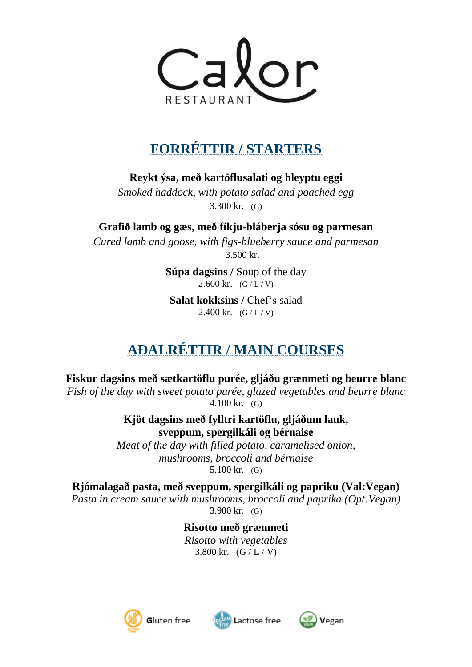

## **FORRÉTTIR / STARTERS**

**Reykt ýsa, með kartöflusalati og hleyptu eggi**

*Smoked haddock, with potato salad and poached egg* 3.300 kr. (G)

**Grafið lamb og gæs, með fíkju-bláberja sósu og parmesan** *Cured lamb and goose, with figs-blueberry sauce and parmesan* 3.500 kr.

> **Súpa dagsins /** Soup of the day 2.600 kr.  $(G/L/V)$

**Salat kokksins** / Chef's salad 2.400 kr.  $(G/L/V)$ 

## **AÐALRÉTTIR / MAIN COURSES**

**Fiskur dagsins með sætkartöflu purée, gljáðu grænmeti og beurre blanc**

*Fish of the day with sweet potato purée, glazed vegetables and beurre blanc* 4.100 kr. (G)

> **Kjöt dagsins með fylltri kartöflu, gljáðum lauk, sveppum, spergilkáli og bérnaise**

*Meat of the day with filled potato, caramelised onion, mushrooms, broccoli and bérnaise*  5.100 kr. (G)

**Rjómalagað pasta, með sveppum, spergilkáli og papriku (Val:Vegan)** *Pasta in cream sauce with mushrooms, broccoli and paprika (Opt:Vegan)*

3.900 kr. (G)

**Risotto með grænmeti** *Risotto with vegetables* 3.800 kr.  $(G/L/V)$